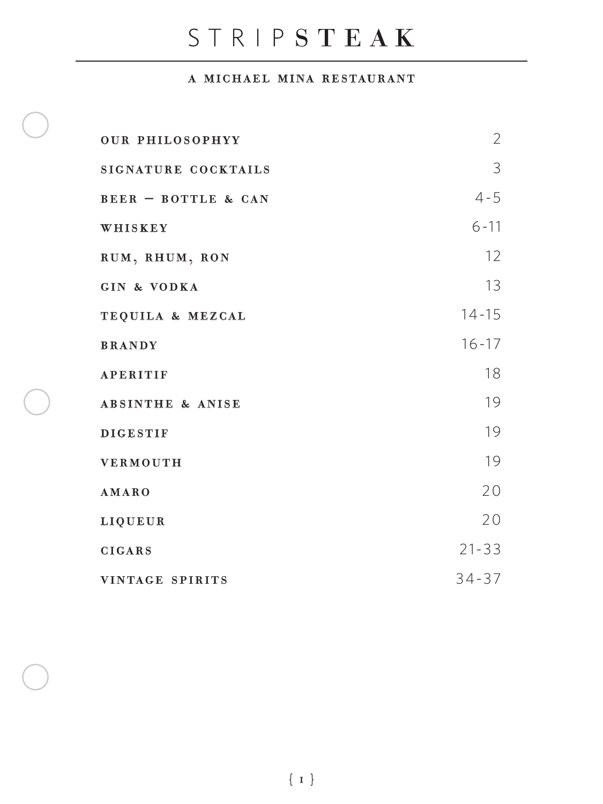# STRIPSTEAK

#### a michael mina restaurant

| <b>OUR PHILOSOPHYY</b>         | 2                 |
|--------------------------------|-------------------|
| SIGNATURE COCKTAILS            | 3                 |
| <b>BEER - BOTTLE &amp; CAN</b> | $4 - 5$           |
| WHISKEY                        | $6 - 11$          |
| RUM, RHUM, RON                 | $12 \overline{ }$ |
| <b>GIN &amp; VODKA</b>         | 13                |
| TEQUILA & MEZCAL               | $14 - 15$         |
| <b>BRANDY</b>                  | $16 - 17$         |
| <b>APERITIF</b>                | 18                |
| <b>ABSINTHE &amp; ANISE</b>    | 19                |
| <b>DIGESTIF</b>                | 19                |
| <b>VERMOUTH</b>                | 19                |
| <b>AMARO</b>                   | 20                |
| <b>LIQUEUR</b>                 | 20                |
| <b>CIGARS</b>                  | $21 - 33$         |
| VINTAGE SPIRITS                | $34 - 37$         |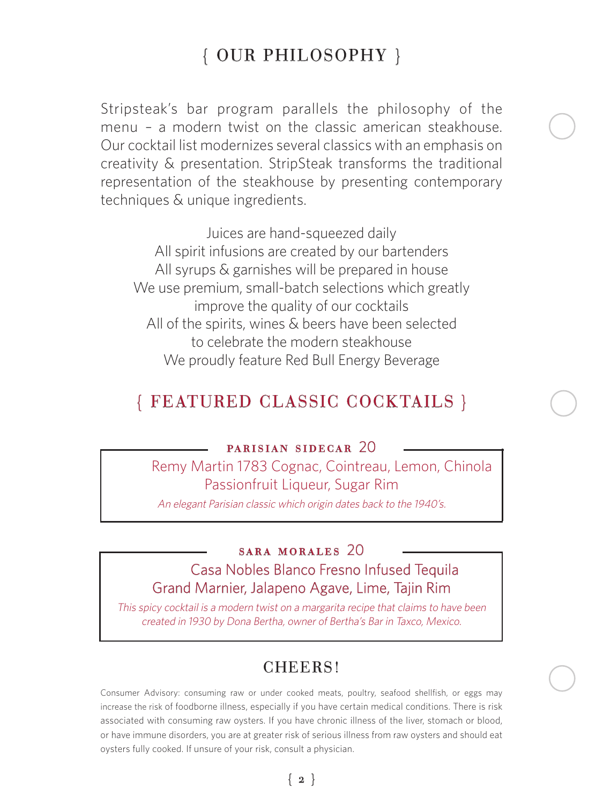# { OUR PHILOSOPHY }

Stripsteak's bar program parallels the philosophy of the menu – a modern twist on the classic american steakhouse. Our cocktail list modernizes several classics with an emphasis on creativity & presentation. StripSteak transforms the traditional representation of the steakhouse by presenting contemporary techniques & unique ingredients.

Juices are hand-squeezed daily All spirit infusions are created by our bartenders All syrups & garnishes will be prepared in house We use premium, small-batch selections which greatly improve the quality of our cocktails All of the spirits, wines & beers have been selected to celebrate the modern steakhouse We proudly feature Red Bull Energy Beverage

### { FEATURED CLASSIC COCKTAILS }

#### parisian sidecar 20

 Remy Martin 1783 Cognac, Cointreau, Lemon, Chinola Passionfruit Liqueur, Sugar Rim

An elegant Parisian classic which origin dates back to the 1940's.

#### sara morales 20 Casa Nobles Blanco Fresno Infused Tequila Grand Marnier, Jalapeno Agave, Lime, Tajin Rim

This spicy cocktail is a modern twist on a margarita recipe that claims to have been created in 1930 by Dona Bertha, owner of Bertha's Bar in Taxco, Mexico.

### CHEERS!

Consumer Advisory: consuming raw or under cooked meats, poultry, seafood shellfish, or eggs may increase the risk of foodborne illness, especially if you have certain medical conditions. There is risk associated with consuming raw oysters. If you have chronic illness of the liver, stomach or blood, or have immune disorders, you are at greater risk of serious illness from raw oysters and should eat oysters fully cooked. If unsure of your risk, consult a physician.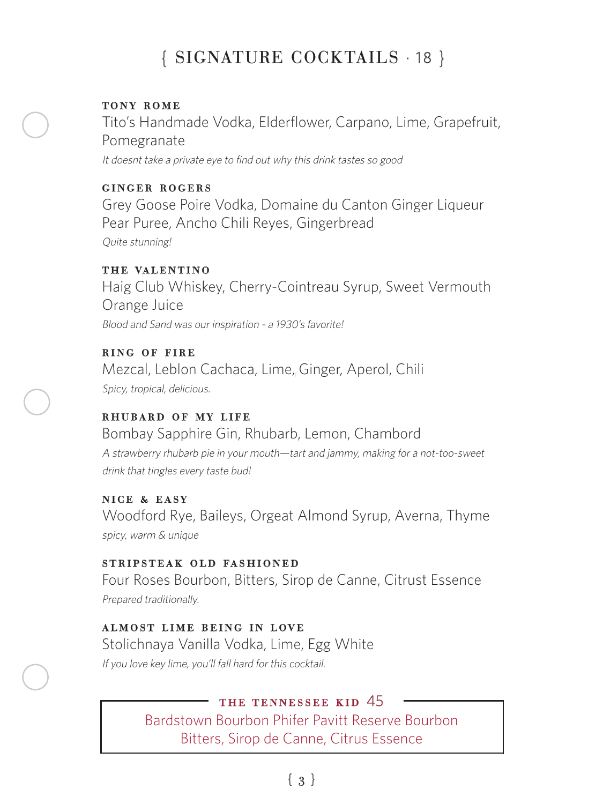# { SIGNATURE COCKTAILS · 18 }

#### tony rome

Tito's Handmade Vodka, Elderflower, Carpano, Lime, Grapefruit, Pomegranate It doesnt take a private eye to find out why this drink tastes so good

#### ginger rogers

Grey Goose Poire Vodka, Domaine du Canton Ginger Liqueur Pear Puree, Ancho Chili Reyes, Gingerbread Quite stunning!

#### the valentino

Haig Club Whiskey, Cherry-Cointreau Syrup, Sweet Vermouth Orange Juice Blood and Sand was our inspiration - a 1930's favorite!

ring of fire Mezcal, Leblon Cachaca, Lime, Ginger, Aperol, Chili Spicy, tropical, delicious.

### RHUBARD OF MY LIFE

Bombay Sapphire Gin, Rhubarb, Lemon, Chambord A strawberry rhubarb pie in your mouth—tart and jammy, making for a not-too-sweet drink that tingles every taste bud!

#### nice & easy

Woodford Rye, Baileys, Orgeat Almond Syrup, Averna, Thyme spicy, warm & unique

#### stripsteak old fashioned

Four Roses Bourbon, Bitters, Sirop de Canne, Citrust Essence Prepared traditionally.

#### almost lime being in love

Stolichnaya Vanilla Vodka, Lime, Egg White If you love key lime, you'll fall hard for this cocktail.

#### the tennessee kid 45

 Bardstown Bourbon Phifer Pavitt Reserve Bourbon Bitters, Sirop de Canne, Citrus Essence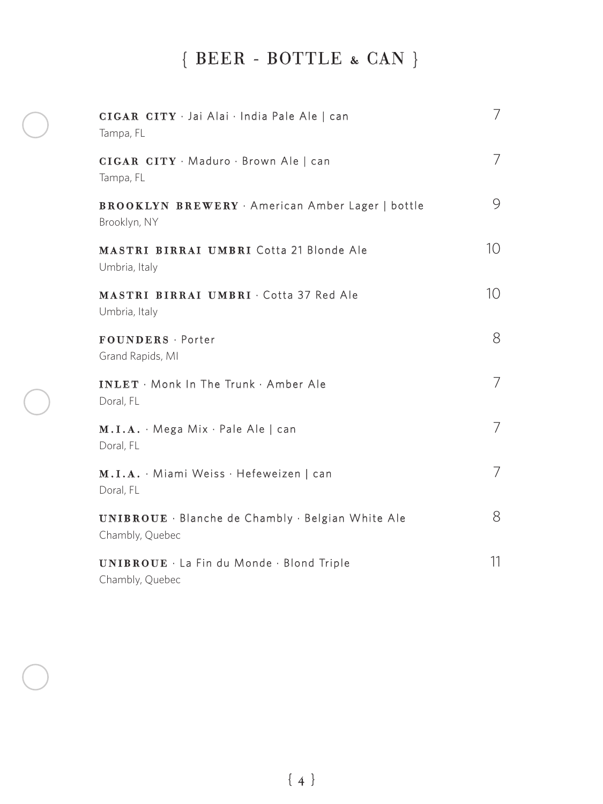# { BEER - BOTTLE & CAN }

| CIGAR CITY · Jai Alai · India Pale Ale   can<br>Tampa, FL             | 7  |
|-----------------------------------------------------------------------|----|
| CIGAR CITY Maduro · Brown Ale   can<br>Tampa, FL                      | 7  |
| <b>BROOKLYN BREWERY</b> American Amber Lager   bottle<br>Brooklyn, NY | 9  |
| <b>MASTRI BIRRAI UMBRI Cotta 21 Blonde Ale</b><br>Umbria, Italy       | 10 |
| MASTRI BIRRAI UMBRI · Cotta 37 Red Ale<br>Umbria, Italy               | 10 |
| FOUNDERS · Porter<br>Grand Rapids, MI                                 | 8  |
| <b>INLET</b> · Monk In The Trunk · Amber Ale<br>Doral, FL             | 7  |
| $M.I.A. \cdot Mega Mix. Pale Ale   can$<br>Doral, FL                  | 7  |
| M.I.A. · Miami Weiss · Hefeweizen   can<br>Doral, FL                  | 7  |
| UNIBROUE · Blanche de Chambly · Belgian White Ale<br>Chambly, Quebec  | 8  |
| UNIBROUE · La Fin du Monde · Blond Triple<br>Chambly, Quebec          | 11 |

{ 4 }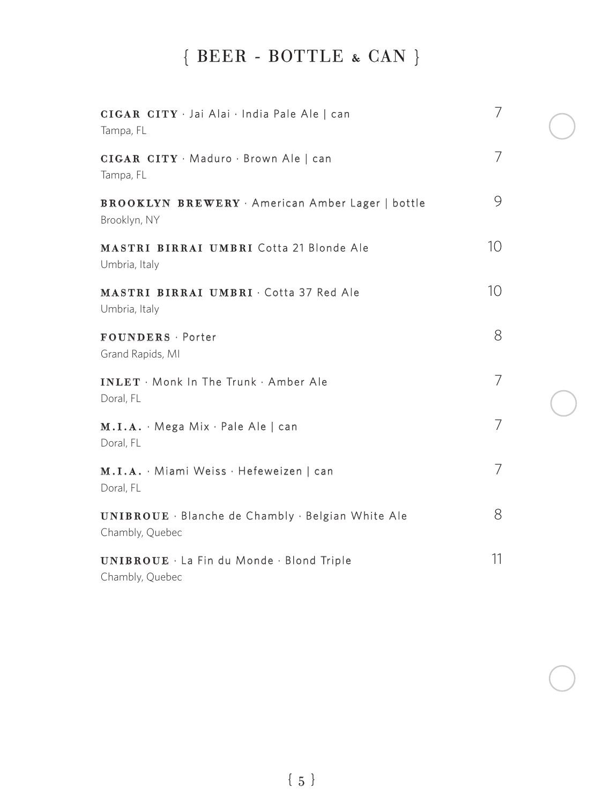# { BEER - BOTTLE & CAN }

| CIGAR CITY · Jai Alai · India Pale Ale   can<br>Tampa, FL             | 7  |  |
|-----------------------------------------------------------------------|----|--|
| CIGAR CITY · Maduro · Brown Ale   can<br>Tampa, FL                    | 7  |  |
| <b>BROOKLYN BREWERY</b> American Amber Lager   bottle<br>Brooklyn, NY | 9  |  |
| <b>MASTRI BIRRAI UMBRI Cotta 21 Blonde Ale</b><br>Umbria, Italy       | 10 |  |
| MASTRI BIRRAI UMBRI · Cotta 37 Red Ale<br>Umbria, Italy               | 10 |  |
| FOUNDERS · Porter<br>Grand Rapids, MI                                 | 8  |  |
| <b>INLET</b> · Monk In The Trunk · Amber Ale<br>Doral, FL             | 7  |  |
| $M.I.A. \cdot Mega Mix \cdot Pale Ale   can$<br>Doral, FL             | 7  |  |
| M.I.A. · Miami Weiss · Hefeweizen   can<br>Doral, FL                  | 7  |  |
| UNIBROUE · Blanche de Chambly · Belgian White Ale<br>Chambly, Quebec  | 8  |  |
| UNIBROUE · La Fin du Monde · Blond Triple<br>Chambly, Quebec          | 11 |  |

 $\{$  5  $\}$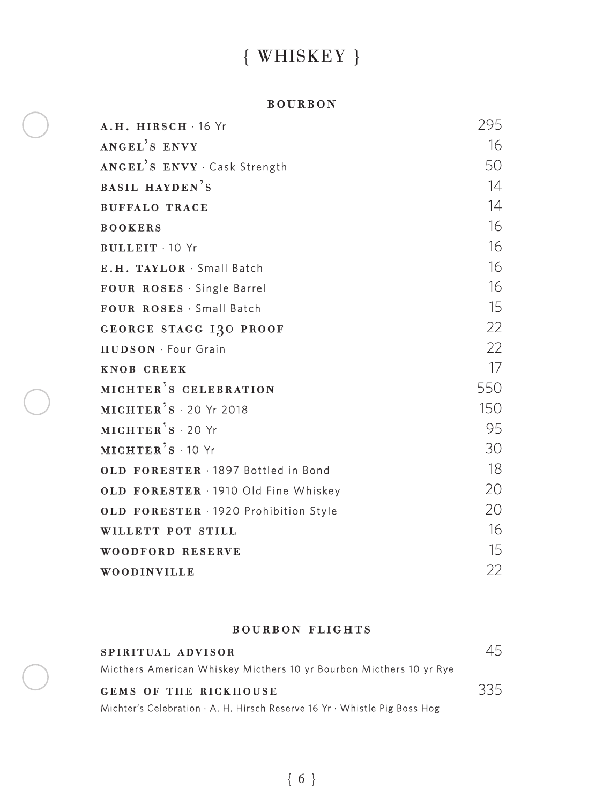# { WHISKEY }

#### bourbon

| A.H. HIRSCH 16 Yr                      | 295 |
|----------------------------------------|-----|
| ANGEL'S ENVY                           | 16  |
| ANGEL'S ENVY . Cask Strength           | 50  |
| <b>BASIL HAYDEN'S</b>                  | 14  |
| <b>BUFFALO TRACE</b>                   | 14  |
| <b>BOOKERS</b>                         | 16  |
| <b>BULLEIT</b> 10 Yr                   | 16  |
| E.H. TAYLOR · Small Batch              | 16  |
| FOUR ROSES · Single Barrel             | 16  |
| FOUR ROSES · Small Batch               | 15  |
| GEORGE STAGG ISO PROOF                 | 22  |
| <b>HUDSON</b> · Four Grain             | 22  |
| <b>KNOB CREEK</b>                      | 17  |
| MICHTER'S CELEBRATION                  | 550 |
| $MICHTER$ <sup>2</sup> S · 20 Yr 2018  | 150 |
| $MICHTER$ <sup>2</sup> S · 20 Yr       | 95  |
| $MICHTER$ <sup>2</sup> $S \cdot 10$ Yr | 30  |
| OLD FORESTER . 1897 Bottled in Bond    | 18  |
| OLD FORESTER 1910 Old Fine Whiskey     | 20  |
| OLD FORESTER · 1920 Prohibition Style  | 20  |
| WILLETT POT STILL                      | 16  |
| WOODFORD RESERVE                       | 15  |
| WOODINVILLE                            | 22  |

#### bourbon flights

| SPIRITUAL ADVISOR                                                         | 45  |
|---------------------------------------------------------------------------|-----|
| Micthers American Whiskey Micthers 10 yr Bourbon Micthers 10 yr Rye       |     |
| GEMS OF THE RICKHOUSE                                                     | 335 |
| Michter's Celebration · A. H. Hirsch Reserve 16 Yr · Whistle Pig Boss Hog |     |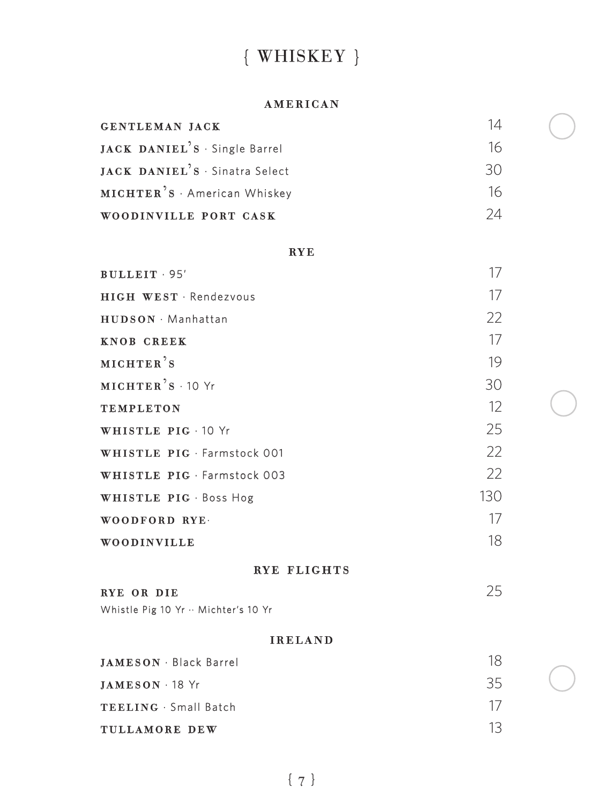# { WHISKEY }

#### american

| GENTLEMAN JACK                            | 14     |
|-------------------------------------------|--------|
| JACK DANIEL'S · Single Barrel             | 16     |
| JACK DANIEL'S · Sinatra Select            | $30 -$ |
| MICHTER <sup>'</sup> S · American Whiskey | 16     |
| WOODINVILLE PORT CASK                     | 24     |

#### **RYE**

| BULLEIT 95'                        | 17   |
|------------------------------------|------|
| <b>HIGH WEST Rendezvous</b>        | 17   |
| HUDSON · Manhattan                 | 22   |
| <b>KNOB CREEK</b>                  | 17   |
| MICHTER'S                          | 19   |
| $MICHTER$ <sup>2</sup> $s$ · 10 Yr | 30   |
| <b>TEMPLETON</b>                   | 12   |
| WHISTLE PIG · 10 Yr                | 25   |
| WHISTLE PIG · Farmstock 001        | 22   |
| WHISTLE PIG · Farmstock 003        | $22$ |
| WHISTLE PIG · Boss Hog             | 130  |
| WOODFORD RYE.                      | 17   |
| WOODINVILLE                        | 18   |

#### rye flights

| RYE OR DIE                           | 25 |
|--------------------------------------|----|
| Whistle Pig 10 Yr ·· Michter's 10 Yr |    |

#### ireland

| <b>JAMESON</b> Black Barrel | 18. |
|-----------------------------|-----|
| $JAMESON - 18$ Yr           | 35. |
| <b>TEELING</b> Small Batch  | 17  |
| TULLAMORE DEW               | 13. |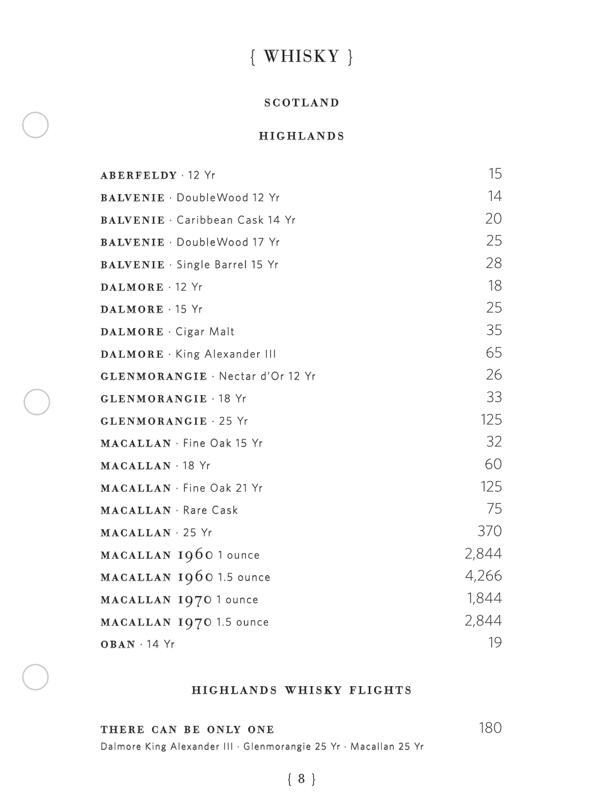# { WHISKY }

#### **SCOTLAND**

#### highlands

| <b>ABERFELDY 12 Yr</b>                  | 15    |
|-----------------------------------------|-------|
| <b>BALVENIE</b> DoubleWood 12 Yr        | 14    |
| BALVENIE · Caribbean Cask 14 Yr         | 20    |
| <b>BALVENIE</b> · DoubleWood 17 Yr      | 25    |
| <b>BALVENIE</b> Single Barrel 15 Yr     | 28    |
| DALMORE 12 Yr                           | 18    |
| DALMORE · 15 Yr                         | 25    |
| DALMORE · Cigar Malt                    | 35    |
| DALMORE · King Alexander III            | 65    |
| <b>GLENMORANGIE</b> · Nectar d'Or 12 Yr | 26    |
| <b>GLENMORANGIE · 18 Yr</b>             | 33    |
| <b>GLENMORANGIE · 25 Yr</b>             | 125   |
| MACALLAN · Fine Oak 15 Yr               | 32    |
| MACALLAN · 18 Yr                        | 60    |
| MACALLAN · Fine Oak 21 Yr               | 125   |
| <b>MACALLAN</b> · Rare Cask             | 75    |
| MACALLAN 25 Yr                          | 370   |
| MACALLAN 1960 1 ounce                   | 2,844 |
| MACALLAN 1960 1.5 ounce                 | 4,266 |
| MACALLAN 1970 1 ounce                   | 1,844 |
| MACALLAN 1970 1.5 ounce                 | 2,844 |
| $OBAN \cdot 14$ Yr                      | 19    |

#### highlands whisky flights

THERE CAN BE ONLY ONE 180

Dalmore King Alexander III · Glenmorangie 25 Yr · Macallan 25 Yr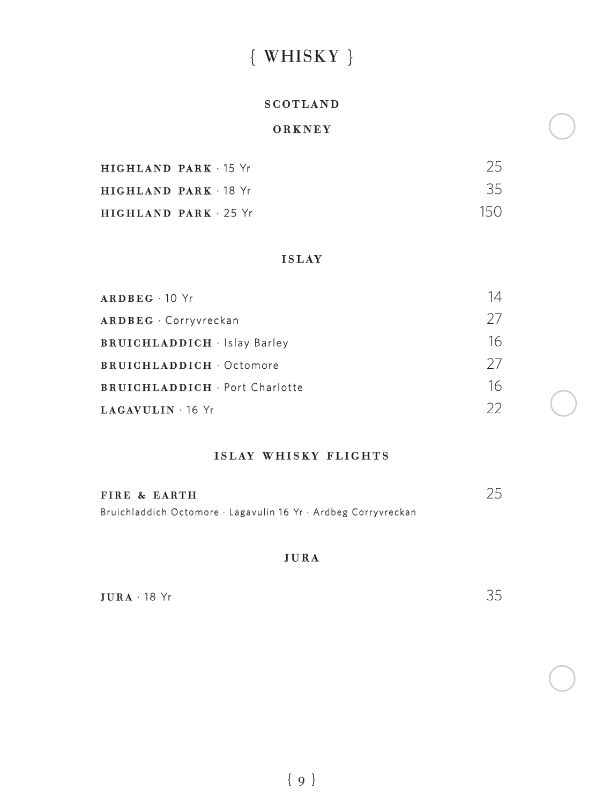# { WHISKY }

#### scotland

#### orkney

| HIGHLAND PARK 15 Yr        |     |
|----------------------------|-----|
| HIGHLAND PARK 18 Yr        | 35. |
| <b>HIGHLAND PARK 25 Yr</b> | 15N |

#### islay

| $ARDEEG - 10$ Yr                    | 14 |
|-------------------------------------|----|
| ARDBEG · Corryvreckan               | 27 |
| <b>BRUICHLADDICH</b> · Islay Barley | 16 |
| <b>BRUICHLADDICH</b> Octomore       | 27 |
| <b>BRUICHLADDICH</b> Port Charlotte | 16 |
| LAGAVULIN · 16 Yr                   | 22 |

#### islay whisky flights

| FIRE & EARTH                                                   |  |
|----------------------------------------------------------------|--|
| Bruichladdich Octomore · Lagavulin 16 Yr · Ardbeg Corryvreckan |  |

#### jura

| $JURA$ 18 $Yr$ | $\sim$ $-$ |
|----------------|------------|
|----------------|------------|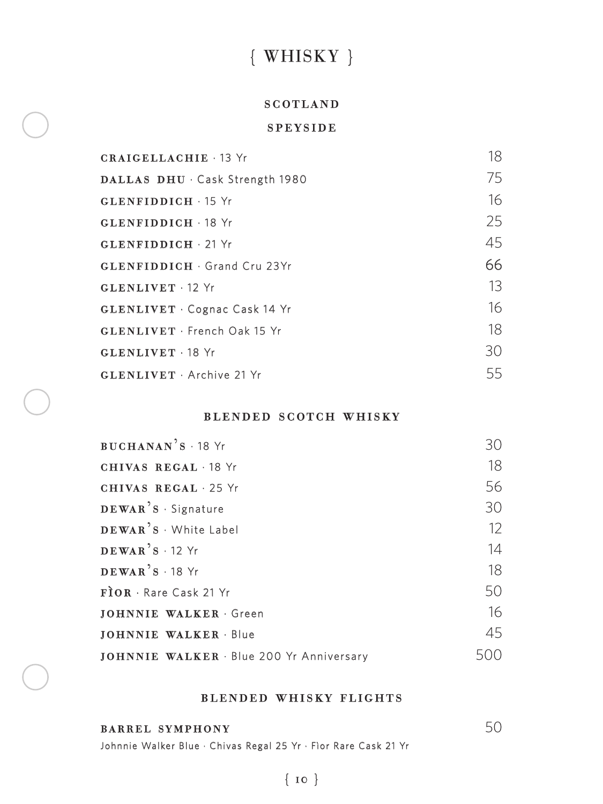# { WHISKY }

#### **SCOTLAND**

#### **SPEYSIDE**

| <b>CRAIGELLACHIE · 13 Yr</b>       | 18 |
|------------------------------------|----|
| DALLAS DHU · Cask Strength 1980    | 75 |
| <b>GLENFIDDICH 15 Yr</b>           | 16 |
| GLENFIDDICH 18 Yr                  | 25 |
| $GLENFIDDICH \cdot 21$ Yr          | 45 |
| <b>GLENFIDDICH</b> Grand Cru 23Yr  | 66 |
| GLENLIVET 12 Yr                    | 13 |
| <b>GLENLIVET</b> Cognac Cask 14 Yr | 16 |
| GLENLIVET · French Oak 15 Yr       | 18 |
| GLENLIVET 18 Yr                    | 30 |
| GLENLIVET · Archive 21 Yr          | 55 |

#### blended scotch whisky

| BUCHANAN'S · 18 Yr                       | 30                |
|------------------------------------------|-------------------|
| CHIVAS REGAL 18 Yr                       | 18                |
| CHIVAS REGAL 25 Yr                       | 56                |
| DEWAR'S · Signature                      | 30                |
| DEWAR'S White Label                      | $12 \overline{ }$ |
| $DEWAR$ <sup>2</sup> S $\cdot$ 12 Yr     | 14                |
| $DEWAR$ <sup>2</sup> S $\cdot$ 18 Yr     | 18                |
| $F$ <b>OR</b> · Rare Cask 21 Yr          | 50                |
| <b>JOHNNIE WALKER Green</b>              | 16                |
| <b>JOHNNIE WALKER · Blue</b>             | 45                |
| JOHNNIE WALKER · Blue 200 Yr Anniversary | 500               |

#### blended whisky flights

**barrel symphony** 50 Johnnie Walker Blue · Chivas Regal 25 Yr · Fìor Rare Cask 21 Yr

### { 10 }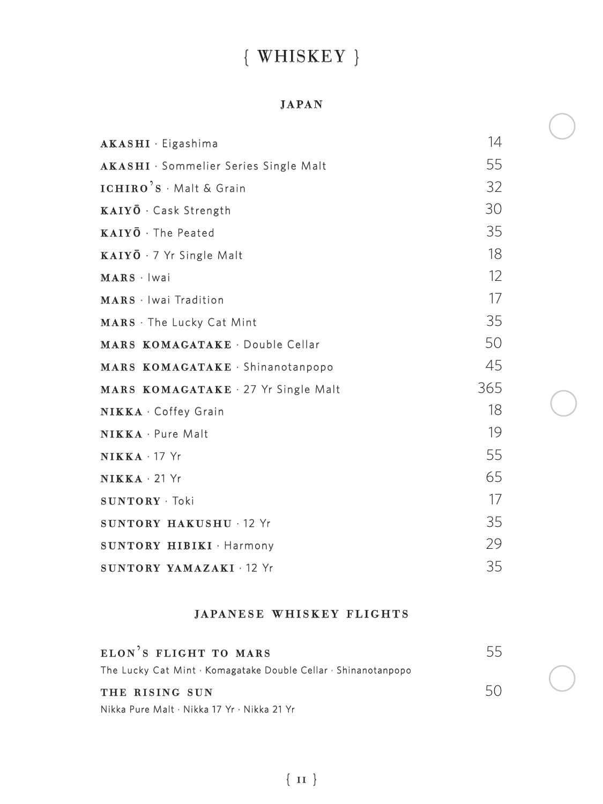# { WHISKEY }

#### japan

| <b>AKASHI</b> · Eigashima                                 | 14  |
|-----------------------------------------------------------|-----|
| <b>AKASHI</b> · Sommelier Series Single Malt              | 55  |
| $\texttt{ICHIRO}^3\texttt{S} \cdot \texttt{Malt}$ & Grain | 32  |
| $\mathbf{KAIY\bar{O}}\cdot$ Cask Strength                 | 30  |
| $\textbf{KAIY}\bar{\textbf{O}}\cdot\textbf{The Peated}$   | 35  |
| $\textbf{KAIY}\bar{\textbf{O}}\cdot$ 7 Yr Single Malt     | 18  |
| MARS · Iwai                                               | 12  |
| MARS · Iwai Tradition                                     | 17  |
| MARS · The Lucky Cat Mint                                 | 35  |
| MARS KOMAGATAKE · Double Cellar                           | 50  |
| MARS KOMAGATAKE · Shinanotanpopo                          | 45  |
| MARS KOMAGATAKE · 27 Yr Single Malt                       | 365 |
| NIKKA · Coffey Grain                                      | 18  |
| NIKKA · Pure Malt                                         | 19  |
| NIKKA · 17 Yr                                             | 55  |
| $NIKKA \cdot 21$ Yr                                       | 65  |
| SUNTORY · Toki                                            | 17  |
| SUNTORY HAKUSHU · 12 Yr                                   | 35  |
| <b>SUNTORY HIBIKI</b> · Harmony                           | 29  |
| SUNTORY YAMAZAKI 12 Yr                                    | 35  |

#### japanese whiskey flights

| ELON'S FLIGHT TO MARS                                          | 55 |
|----------------------------------------------------------------|----|
| The Lucky Cat Mint · Komagatake Double Cellar · Shinanotanpopo |    |
| THE RISING SUN                                                 | 50 |
| Nikka Pure Malt · Nikka 17 Yr · Nikka 21 Yr                    |    |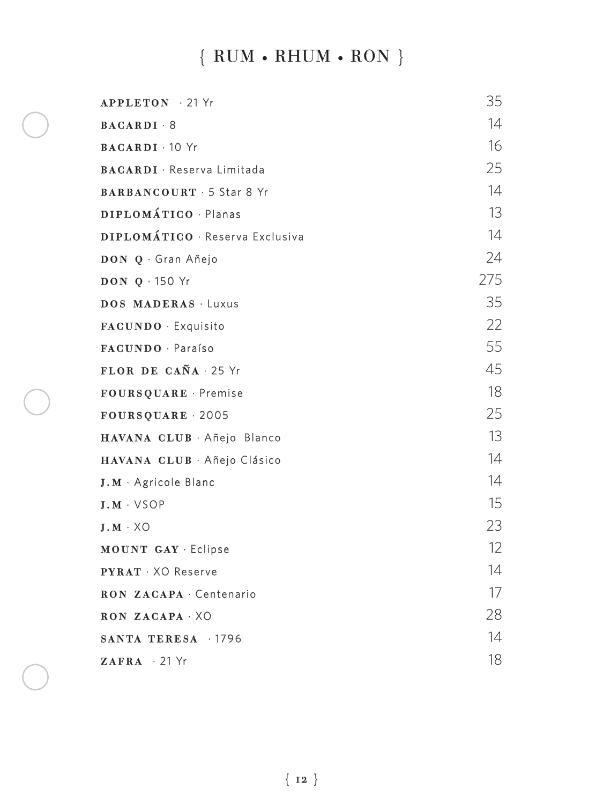# { RUM **•** RHUM **•** RON }

| <b>APPLETON</b> 21 Yr             | 35  |
|-----------------------------------|-----|
| $BACARDI \cdot 8$                 | 14  |
| <b>BACARDI</b> 10 Yr              | 16  |
| <b>BACARDI</b> · Reserva Limitada | 25  |
| <b>BARBANCOURT · 5 Star 8 Yr</b>  | 14  |
| DIPLOMÁTICO · Planas              | 13  |
| DIPLOMÁTICO · Reserva Exclusiva   | 14  |
| DON Q · Gran Añejo                | 24  |
| <b>DON 0 150 Yr</b>               | 275 |
| DOS MADERAS Luxus                 | 35  |
| FACUNDO · Exquisito               | 22  |
| FACUNDO · Paraíso                 | 55  |
| FLOR DE CAÑA · 25 Yr              | 45  |
| FOURSQUARE · Premise              | 18  |
| FOURSQUARE 2005                   | 25  |
| HAVANA CLUB · Añejo Blanco        | 13  |
| HAVANA CLUB · Añejo Clásico       | 14  |
| $J.M \cdot$ Agricole Blanc        | 14  |
| $J.M \cdot VSOP$                  | 15  |
| $J.M \cdot XO$                    | 23  |
| MOUNT GAY · Eclipse               | 12  |
| <b>PYRAT</b> . XO Reserve         | 14  |
| RON ZACAPA · Centenario           | 17  |
| RON ZACAPA XO                     | 28  |
| SANTA TERESA 1796                 | 14  |
| $ZAFRA$ $\cdot$ 21 Yr             | 18  |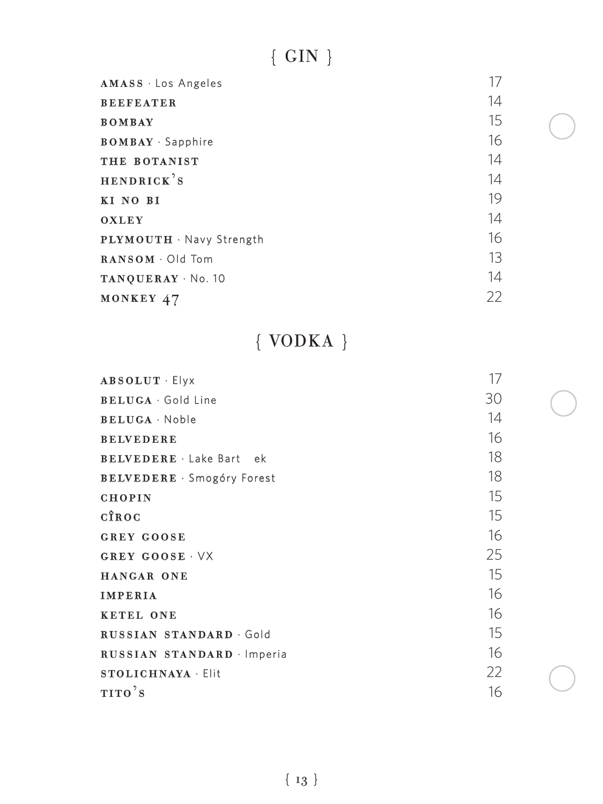# $\{$  GIN  $\}$

| AMASS · Los Angeles                    | 17 |
|----------------------------------------|----|
| <b>BEEFEATER</b>                       | 14 |
| <b>BOMBAY</b>                          | 15 |
| <b>BOMBAY</b> · Sapphire               | 16 |
| THE BOTANIST                           | 14 |
| HENDRICK'S                             | 14 |
| KI NO BI                               | 19 |
| <b>OXLEY</b>                           | 14 |
| PLYMOUTH · Navy Strength               | 16 |
| $\textbf{RANSOM} \cdot \text{Old Tom}$ | 13 |
| TANQUERAY · No. 10                     | 14 |
| MONKEY 47                              | 22 |

# { VODKA }

| <b>ABSOLUT</b> Elyx               | 17 |
|-----------------------------------|----|
| <b>BELUGA</b> Gold Line           | 30 |
| <b>BELUGA</b> Noble               | 14 |
| <b>BELVEDERE</b>                  | 16 |
| <b>BELVEDERE</b> Lake Bart ek     | 18 |
| <b>BELVEDERE</b> · Smogóry Forest | 18 |
| <b>CHOPIN</b>                     | 15 |
| CÎROC                             | 15 |
| <b>GREY GOOSE</b>                 | 16 |
| GREY GOOSE VX                     | 25 |
| HANGAR ONE                        | 15 |
| <b>IMPERIA</b>                    | 16 |
| <b>KETEL ONE</b>                  | 16 |
| RUSSIAN STANDARD Gold             | 15 |
| RUSSIAN STANDARD Imperia          | 16 |
| <b>STOLICHNAYA · Elit</b>         | 22 |
| TITO'S                            | 16 |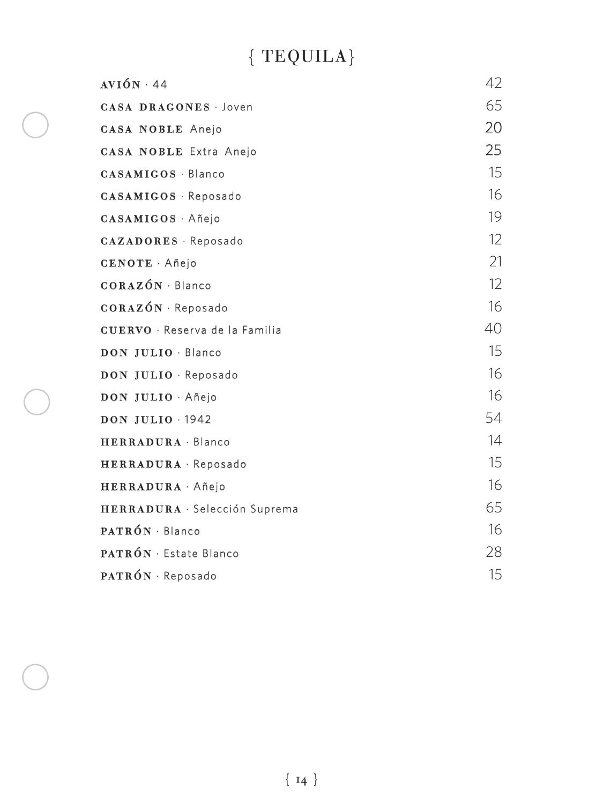# { TEQUILA}

| $AVIÓN \cdot 44$                      | 42                |
|---------------------------------------|-------------------|
| <b>CASA DRAGONES</b> Joven            | 65                |
| <b>CASA NOBLE Anejo</b>               | 20                |
| <b>CASA NOBLE Extra Anejo</b>         | 25                |
| <b>CASAMIGOS · Blanco</b>             | 15                |
| CASAMIGOS · Reposado                  | 16                |
| CASAMIGOS Añejo                       | 19                |
| CAZADORES · Reposado                  | $12 \overline{ }$ |
| CENOTE Añejo                          | 21                |
| CORAZÓN · Blanco                      | 12                |
| CORAZÓN · Reposado                    | 16                |
| <b>CUERVO</b> · Reserva de la Familia | 40                |
| DON JULIO · Blanco                    | 15                |
| DON JULIO · Reposado                  | 16                |
| DON JULIO · Añejo                     | 16                |
| <b>DON JULIO 1942</b>                 | 54                |
| HERRADURA Blanco                      | 14                |
| HERRADURA · Reposado                  | 15                |
| HERRADURA Añejo                       | 16                |
| HERRADURA · Selección Suprema         | 65                |
| $PATRON \cdot Blanco$                 | 16                |
| <b>PATRÓN</b> · Estate Blanco         | 28                |
| PATRÓN · Reposado                     | 15                |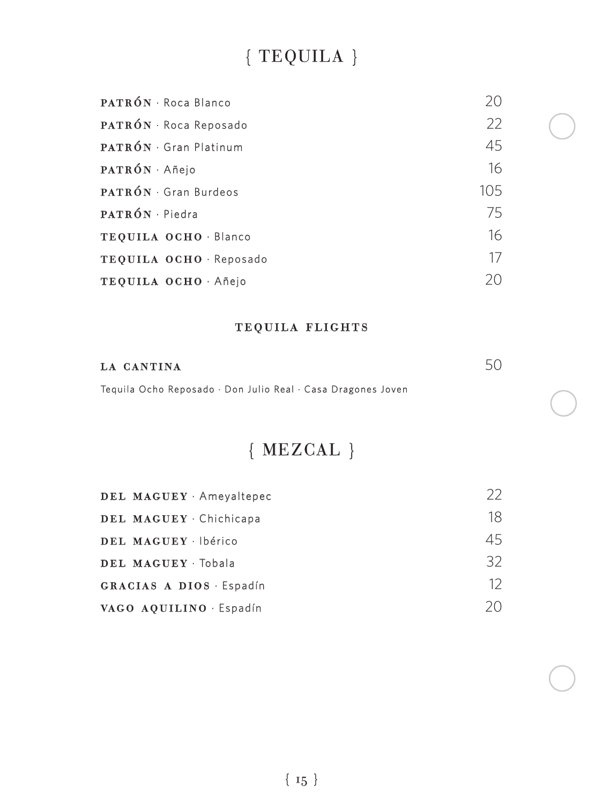# { TEQUILA }

| PATRÓN · Roca Blanco        | 20      |
|-----------------------------|---------|
| PATRÓN · Roca Reposado      | 22      |
| <b>PATRÓN</b> Gran Platinum | 45      |
| PATRÓN · Añejo              | 16      |
| PATRÓN · Gran Burdeos       | $105 -$ |
| PATRÓN · Piedra             | 75      |
| TEQUILA OCHO · Blanco       | 16      |
| TEQUILA OCHO · Reposado     | 17      |
| TEQUILA OCHO · Añejo        | 20      |

### tequila flights

| LA CANTINA                                                   |  |
|--------------------------------------------------------------|--|
| Tequila Ocho Reposado · Don Julio Real · Casa Dragones Joven |  |

# { MEZCAL }

| DEL MAGUEY Ameyaltepec  | 22 |
|-------------------------|----|
| DEL MAGUEY Chichicapa   | 18 |
| DEL MAGUEY · Ibérico    | 45 |
| DEL MAGUEY Tobala       | 32 |
| GRACIAS A DIOS Espadín  | 12 |
| VAGO AOUILINO · Espadín | 20 |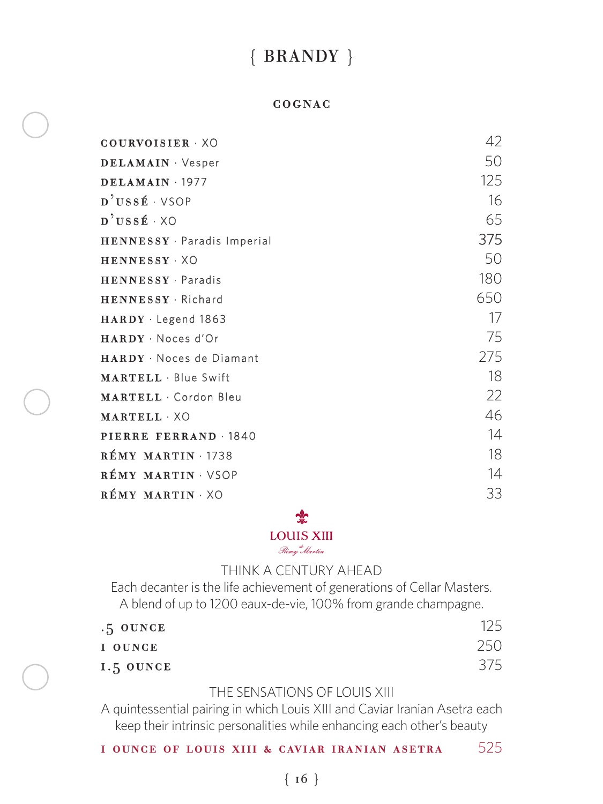## { BRANDY }

#### cognac

| COURVOISIER XO                     | 42  |
|------------------------------------|-----|
| DELAMAIN · Vesper                  | 50  |
| DELAMAIN 1977                      | 125 |
| D'USSÉ VSOP                        | 16  |
| $\mathbf{D}^2 \mathbf{U}$ ssé · XO | 65  |
| HENNESSY · Paradis Imperial        | 375 |
| HENNESSY XO                        | 50  |
| HENNESSY · Paradis                 | 180 |
| HENNESSY Richard                   | 650 |
| $HARDY \cdot Legend$ 1863          | 17  |
| HARDY · Noces d'Or                 | 75  |
| HARDY · Noces de Diamant           | 275 |
| <b>MARTELL</b> Blue Swift          | 18  |
| <b>MARTELL</b> Cordon Bleu         | 22  |
| MARTELL XO                         | 46  |
| PIERRE FERRAND 1840                | 14  |
| RÉMY MARTIN 1738                   | 18  |
| RÉMY MARTIN · VSOP                 | 14  |
| RÉMY MARTIN XO                     | 33  |

#### ু⊵

#### LOUIS XIII

Rémy Martin

#### THINK A CENTURY AHEAD

Each decanter is the life achievement of generations of Cellar Masters. A blend of up to 1200 eaux-de-vie, 100% from grande champagne.

| $.5$ OUNCE | 125 |
|------------|-----|
| I OUNCE    | 250 |
| 1.5 OUNCE  | 375 |

#### THE SENSATIONS OF LOUIS XIII

A quintessential pairing in which Louis XIII and Caviar Iranian Asetra each keep their intrinsic personalities while enhancing each other's beauty

1 ounce of louis xiii & caviar iranian asetra 525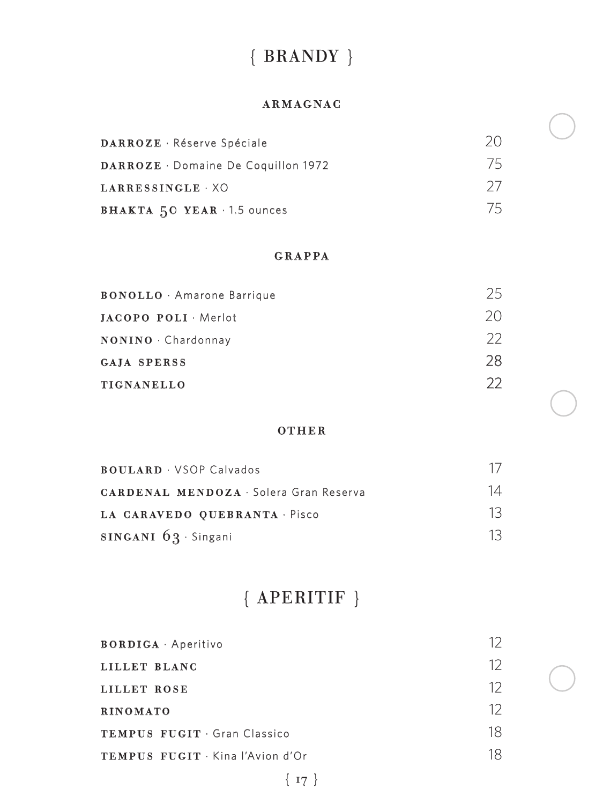# { BRANDY }

#### armagnac

| DARROZE · Réserve Spéciale          | 20. |
|-------------------------------------|-----|
| DARROZE · Domaine De Coquillon 1972 | 75  |
| LARRESSINGLE · XO                   | -27 |
| BHAKTA 50 YEAR 1.5 ounces           | 75. |

#### GRAPPA

| <b>BONOLLO</b> Amarone Barrique | 25   |
|---------------------------------|------|
| JACOPO POLI Merlot              | 20.  |
| NONINO · Chardonnay             | $22$ |
| <b>GAJA SPERSS</b>              | 28   |
| TIGNANELLO                      | フフ   |

#### other

| <b>BOULARD</b> · VSOP Calvados                | 17 |
|-----------------------------------------------|----|
| <b>CARDENAL MENDOZA · Solera Gran Reserva</b> | 14 |
| LA CARAVEDO OUEBRANTA · Pisco                 | 13 |
| SINGANI $63 \cdot$ Singani                    | 13 |

# { APERITIF }

| 12 |
|----|
| 12 |
| 12 |
| 18 |
| 18 |
|    |

 ${17}$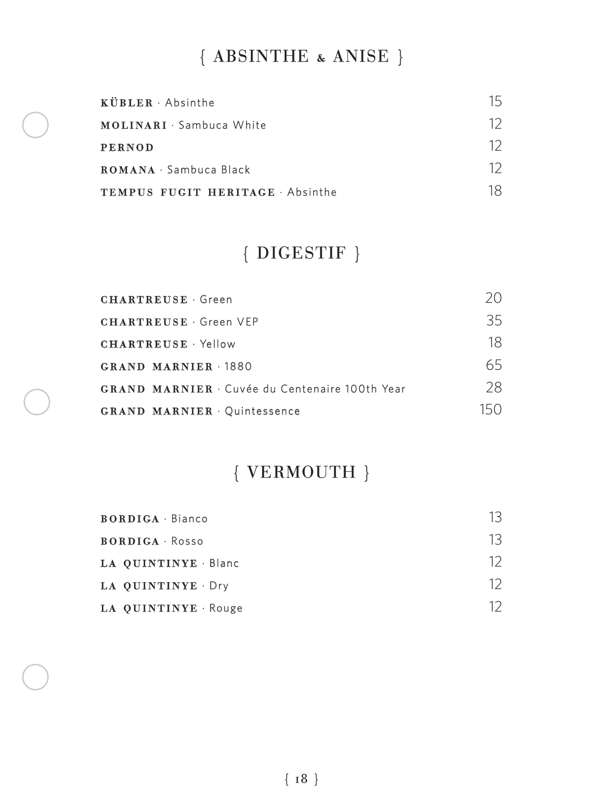# { ABSINTHE & ANISE }

| $KUBLER \cdot Absinthe$        | 15 |
|--------------------------------|----|
| MOLINARI · Sambuca White       | 12 |
| <b>PERNOD</b>                  | 12 |
| ROMANA · Sambuca Black         | 12 |
| TEMPUS FUGIT HERITAGE Absinthe | 18 |

# { DIGESTIF }

| <b>CHARTREUSE</b> Green                             | 20. |
|-----------------------------------------------------|-----|
| <b>CHARTREUSE</b> Green VEP                         | 35  |
| <b>CHARTREUSE</b> Yellow                            | 18  |
| GRAND MARNIER 1880                                  | 65  |
| <b>GRAND MARNIER</b> Cuvée du Centenaire 100th Year | 28  |
| <b>GRAND MARNIER Ouintessence</b>                   |     |

# { VERMOUTH }

| <b>BORDIGA</b> · Bianco | 13 |
|-------------------------|----|
| <b>BORDIGA</b> Rosso    | 13 |
| LA QUINTINYE · Blanc    | 12 |
| LA QUINTINYE Dry        | 12 |
| LA QUINTINYE Rouge      |    |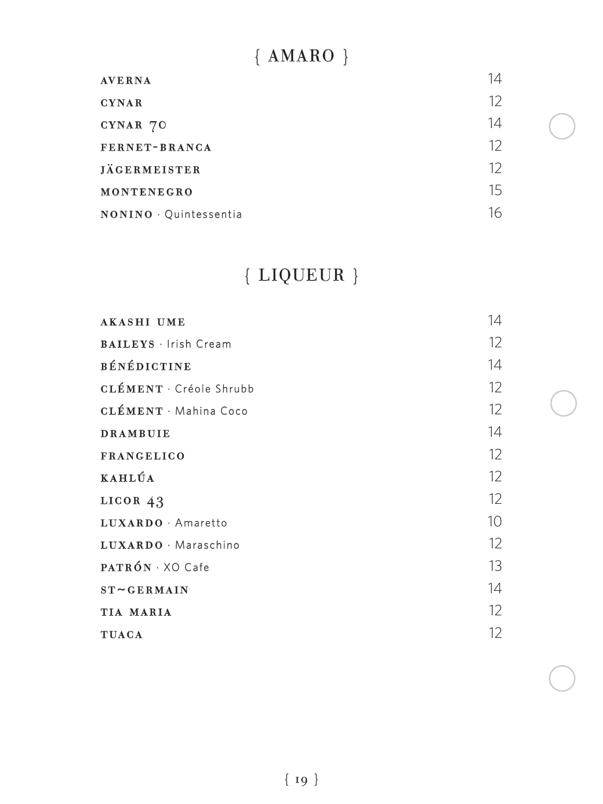# { AMARO }

| <b>AVERNA</b>        | 14 |
|----------------------|----|
| <b>CYNAR</b>         | 12 |
| CYNAR 70             | 14 |
| FERNET-BRANCA        | 12 |
| <b>JÄGERMEISTER</b>  | 12 |
| MONTENEGRO           | 15 |
| NONINO Quintessentia | 16 |

# { LIQUEUR }

| <b>AKASHI UME</b>            | 14 |
|------------------------------|----|
| <b>BAILEYS</b> · Irish Cream | 12 |
| <b>BÉNÉDICTINE</b>           | 14 |
| <b>CLÉMENT</b> Créole Shrubb | 12 |
| <b>CLÉMENT</b> Mahina Coco   | 12 |
| <b>DRAMBUIE</b>              | 14 |
| <b>FRANGELICO</b>            | 12 |
| KAHLÚA                       | 12 |
| LICOR $43$                   | 12 |
| LUXARDO · Amaretto           | 10 |
| LUXARDO · Maraschino         | 12 |
| $PATRON \cdot XO$ Cafe       | 13 |
| $ST \sim GERMAIN$            | 14 |
| TIA MARIA                    | 12 |
| <b>TUACA</b>                 | 12 |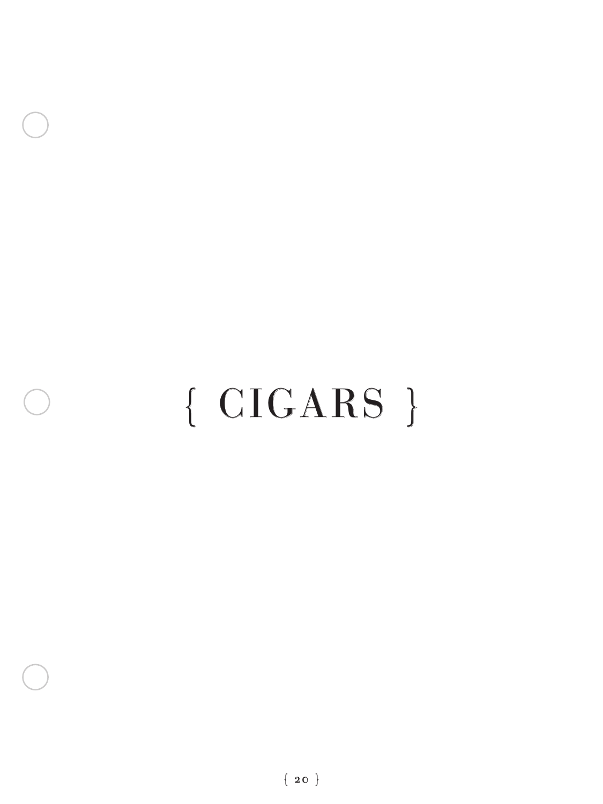# { CIGARS }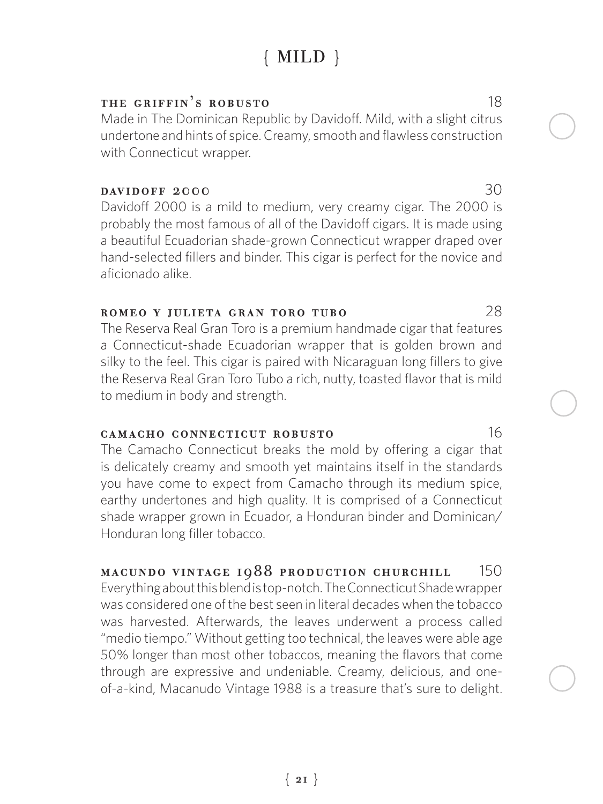# { MILD }

#### THE GRIFFIN'S ROBUSTO 18

Made in The Dominican Republic by Davidoff. Mild, with a slight citrus undertone and hints of spice. Creamy, smooth and flawless construction with Connecticut wrapper.

#### **DAVIDOFF 2000** 30

Davidoff 2000 is a mild to medium, very creamy cigar. The 2000 is probably the most famous of all of the Davidoff cigars. It is made using a beautiful Ecuadorian shade-grown Connecticut wrapper draped over hand-selected fillers and binder. This cigar is perfect for the novice and aficionado alike.

#### romeo y julieta gran toro tubo 28

The Reserva Real Gran Toro is a premium handmade cigar that features a Connecticut-shade Ecuadorian wrapper that is golden brown and silky to the feel. This cigar is paired with Nicaraguan long fillers to give the Reserva Real Gran Toro Tubo a rich, nutty, toasted flavor that is mild to medium in body and strength.

#### camacho connecticut robusto 16

The Camacho Connecticut breaks the mold by offering a cigar that is delicately creamy and smooth yet maintains itself in the standards you have come to expect from Camacho through its medium spice, earthy undertones and high quality. It is comprised of a Connecticut shade wrapper grown in Ecuador, a Honduran binder and Dominican/ Honduran long filler tobacco.

#### macundo vintage 1988 production churchill 150 Everything about this blend is top-notch. The Connecticut Shade wrapper was considered one of the best seen in literal decades when the tobacco was harvested. Afterwards, the leaves underwent a process called "medio tiempo." Without getting too technical, the leaves were able age 50% longer than most other tobaccos, meaning the flavors that come through are expressive and undeniable. Creamy, delicious, and oneof-a-kind, Macanudo Vintage 1988 is a treasure that's sure to delight.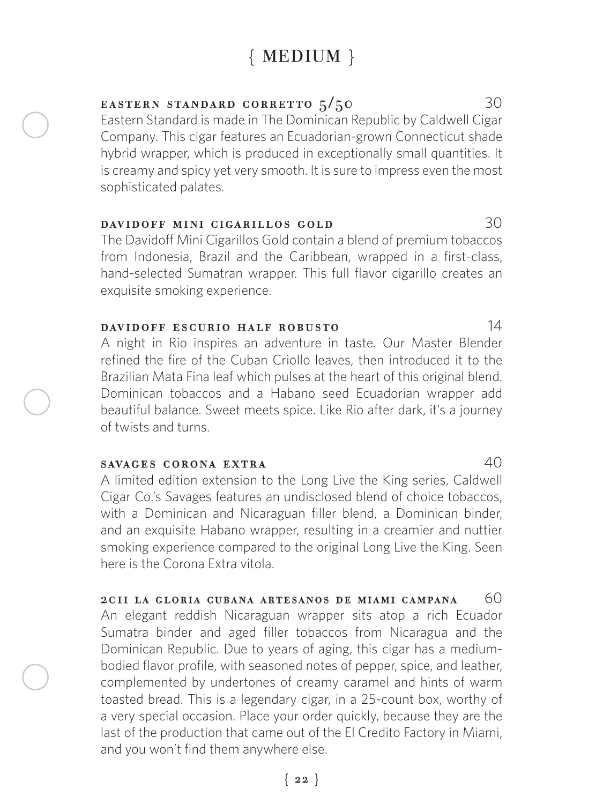# { MEDIUM }

#### **EASTERN STANDARD CORRETTO**  $5/50$  30

Eastern Standard is made in The Dominican Republic by Caldwell Cigar Company. This cigar features an Ecuadorian-grown Connecticut shade hybrid wrapper, which is produced in exceptionally small quantities. It is creamy and spicy yet very smooth. It is sure to impress even the most sophisticated palates.

#### davidoff mini cigarillos gold 30

The Davidoff Mini Cigarillos Gold contain a blend of premium tobaccos from Indonesia, Brazil and the Caribbean, wrapped in a first-class, hand-selected Sumatran wrapper. This full flavor cigarillo creates an exquisite smoking experience.

#### davidoff escurio half robusto 14

A night in Rio inspires an adventure in taste. Our Master Blender refined the fire of the Cuban Criollo leaves, then introduced it to the Brazilian Mata Fina leaf which pulses at the heart of this original blend. Dominican tobaccos and a Habano seed Ecuadorian wrapper add beautiful balance. Sweet meets spice. Like Rio after dark, it's a journey of twists and turns.

#### savages corona extra 40

A limited edition extension to the Long Live the King series, Caldwell Cigar Co.'s Savages features an undisclosed blend of choice tobaccos, with a Dominican and Nicaraguan filler blend, a Dominican binder, and an exquisite Habano wrapper, resulting in a creamier and nuttier smoking experience compared to the original Long Live the King. Seen here is the Corona Extra vitola.

2011 LA GLORIA CUBANA ARTESANOS DE MIAMI CAMPANA  $60$ An elegant reddish Nicaraguan wrapper sits atop a rich Ecuador Sumatra binder and aged filler tobaccos from Nicaragua and the Dominican Republic. Due to years of aging, this cigar has a mediumbodied flavor profile, with seasoned notes of pepper, spice, and leather, complemented by undertones of creamy caramel and hints of warm toasted bread. This is a legendary cigar, in a 25-count box, worthy of a very special occasion. Place your order quickly, because they are the last of the production that came out of the El Credito Factory in Miami, and you won't find them anywhere else.

#### ${22}$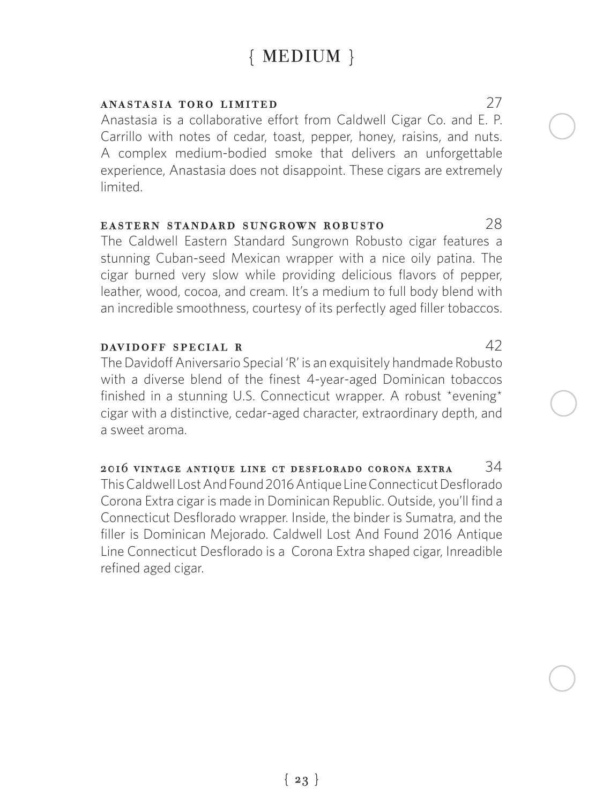# { MEDIUM }

#### anastasia toro limited 27

Anastasia is a collaborative effort from Caldwell Cigar Co. and E. P. Carrillo with notes of cedar, toast, pepper, honey, raisins, and nuts. A complex medium-bodied smoke that delivers an unforgettable experience, Anastasia does not disappoint. These cigars are extremely limited.

#### eastern standard sungrown robusto 28

The Caldwell Eastern Standard Sungrown Robusto cigar features a stunning Cuban-seed Mexican wrapper with a nice oily patina. The cigar burned very slow while providing delicious flavors of pepper, leather, wood, cocoa, and cream. It's a medium to full body blend with an incredible smoothness, courtesy of its perfectly aged filler tobaccos.

#### DAVIDOFF SPECIAL R 42

The Davidoff Aniversario Special 'R' is an exquisitely handmade Robusto with a diverse blend of the finest 4-year-aged Dominican tobaccos finished in a stunning U.S. Connecticut wrapper. A robust \*evening\* cigar with a distinctive, cedar-aged character, extraordinary depth, and a sweet aroma.

2016 vintage antique line ct desflorado corona extra  $34$ This Caldwell Lost And Found 2016 Antique Line Connecticut Desflorado Corona Extra cigar is made in Dominican Republic. Outside, you'll find a Connecticut Desflorado wrapper. Inside, the binder is Sumatra, and the filler is Dominican Mejorado. Caldwell Lost And Found 2016 Antique Line Connecticut Desflorado is a Corona Extra shaped cigar, Inreadible refined aged cigar.

 ${23}$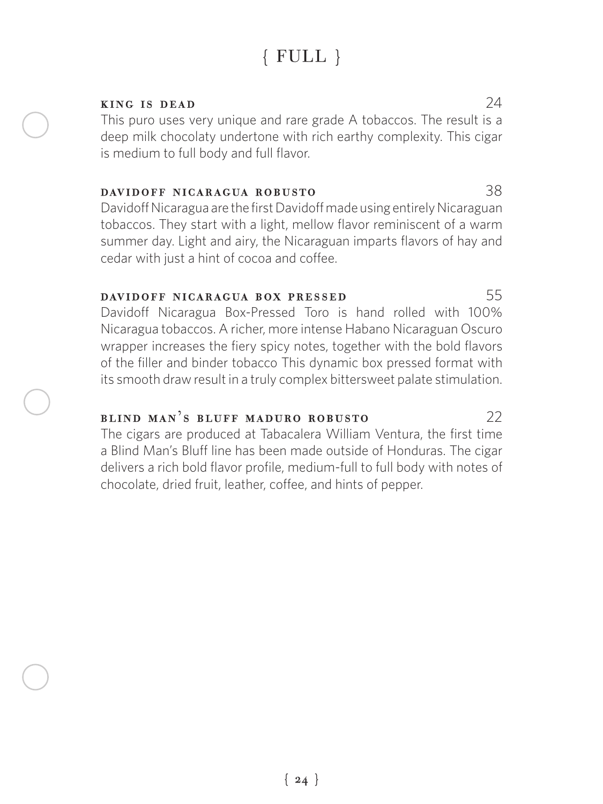# { FULL }

#### **KING IS DEAD**  $24$

This puro uses very unique and rare grade A tobaccos. The result is a deep milk chocolaty undertone with rich earthy complexity. This cigar is medium to full body and full flavor.

#### davidoff nicaragua robusto 38

Davidoff Nicaragua are the first Davidoff made using entirely Nicaraguan tobaccos. They start with a light, mellow flavor reminiscent of a warm summer day. Light and airy, the Nicaraguan imparts flavors of hay and cedar with just a hint of cocoa and coffee.

#### DAVIDOFF NICARAGUA BOX PRESSED 55

Davidoff Nicaragua Box-Pressed Toro is hand rolled with 100% Nicaragua tobaccos. A richer, more intense Habano Nicaraguan Oscuro wrapper increases the fiery spicy notes, together with the bold flavors of the filler and binder tobacco This dynamic box pressed format with its smooth draw result in a truly complex bittersweet palate stimulation.

### blind man's bluff maduro robusto 22

The cigars are produced at Tabacalera William Ventura, the first time a Blind Man's Bluff line has been made outside of Honduras. The cigar delivers a rich bold flavor profile, medium-full to full body with notes of chocolate, dried fruit, leather, coffee, and hints of pepper.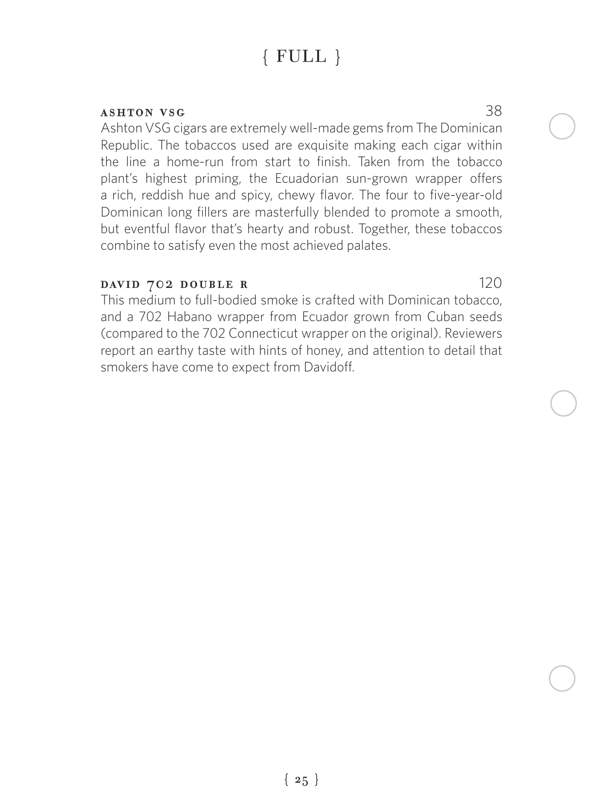# { FULL }

#### ashton vsg 38

Ashton VSG cigars are extremely well-made gems from The Dominican Republic. The tobaccos used are exquisite making each cigar within the line a home-run from start to finish. Taken from the tobacco plant's highest priming, the Ecuadorian sun-grown wrapper offers a rich, reddish hue and spicy, chewy flavor. The four to five-year-old Dominican long fillers are masterfully blended to promote a smooth, but eventful flavor that's hearty and robust. Together, these tobaccos combine to satisfy even the most achieved palates.

#### DAVID 702 DOUBLE R 120

This medium to full-bodied smoke is crafted with Dominican tobacco, and a 702 Habano wrapper from Ecuador grown from Cuban seeds (compared to the 702 Connecticut wrapper on the original). Reviewers report an earthy taste with hints of honey, and attention to detail that smokers have come to expect from Davidoff.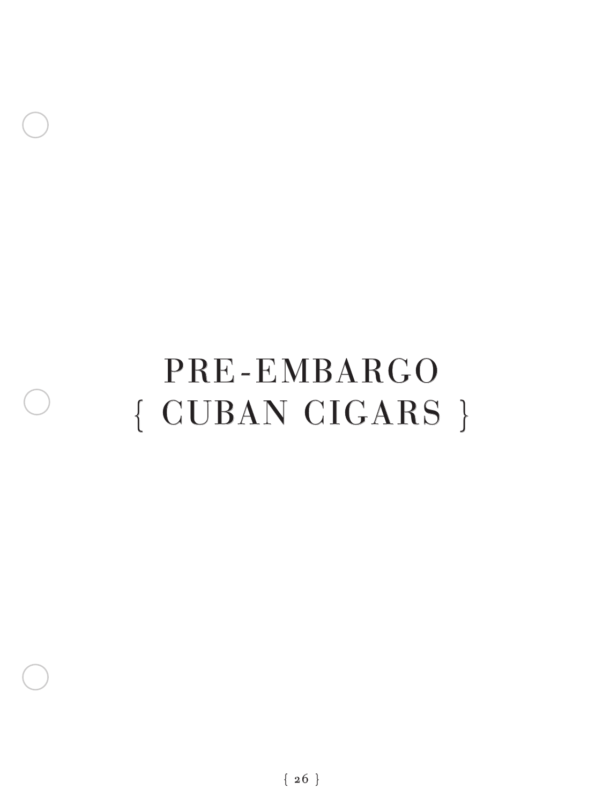# PRE-EMBARGO { CUBAN CIGARS }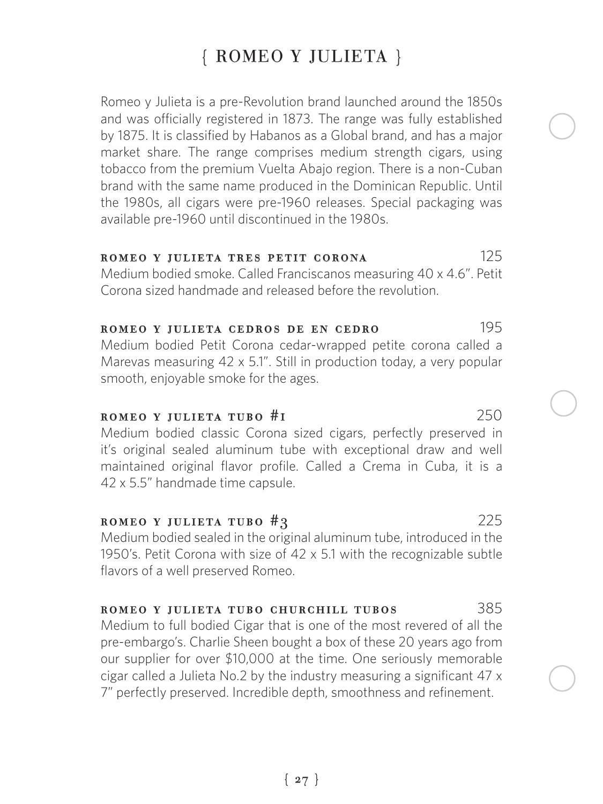# { ROMEO Y JULIETA }

Romeo y Julieta is a pre-Revolution brand launched around the 1850s and was officially registered in 1873. The range was fully established by 1875. It is classified by Habanos as a Global brand, and has a major market share. The range comprises medium strength cigars, using tobacco from the premium Vuelta Abajo region. There is a non-Cuban brand with the same name produced in the Dominican Republic. Until the 1980s, all cigars were pre-1960 releases. Special packaging was available pre-1960 until discontinued in the 1980s.

#### romeo y julieta tres petit corona 125

Medium bodied smoke. Called Franciscanos measuring 40 x 4.6". Petit Corona sized handmade and released before the revolution.

#### romeo y julieta cedros de en cedro 195 Medium bodied Petit Corona cedar-wrapped petite corona called a Marevas measuring 42 x 5.1". Still in production today, a very popular smooth, enjoyable smoke for the ages.

#### $$

Medium bodied classic Corona sized cigars, perfectly preserved in it's original sealed aluminum tube with exceptional draw and well maintained original flavor profile. Called a Crema in Cuba, it is a 42 x 5.5" handmade time capsule.

#### ROMEO Y JULIETA TUBO  $#3$  225

Medium bodied sealed in the original aluminum tube, introduced in the 1950's. Petit Corona with size of 42 x 5.1 with the recognizable subtle flavors of a well preserved Romeo.

#### romeo y julieta tubo churchill tubos 385

Medium to full bodied Cigar that is one of the most revered of all the pre-embargo's. Charlie Sheen bought a box of these 20 years ago from our supplier for over \$10,000 at the time. One seriously memorable cigar called a Julieta No.2 by the industry measuring a significant 47 x 7" perfectly preserved. Incredible depth, smoothness and refinement.

### ${27}$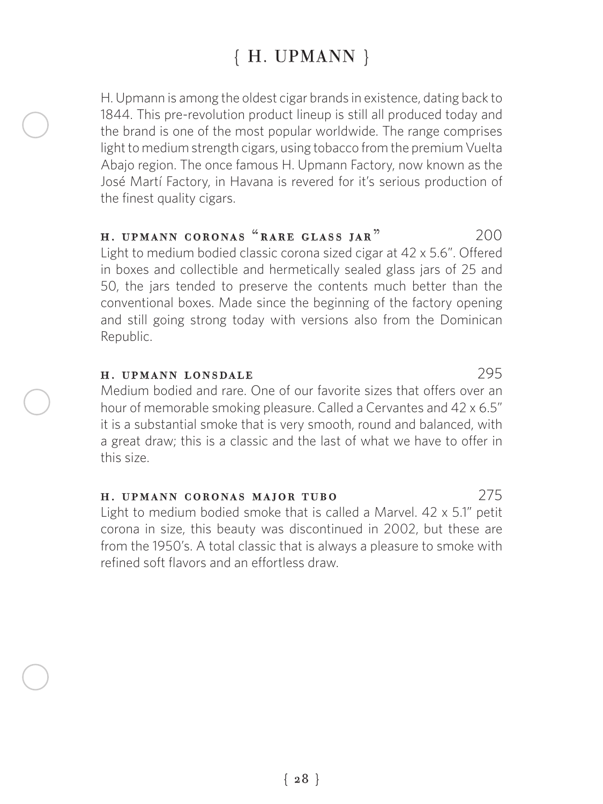# { H. UPMANN }

H. Upmann is among the oldest cigar brands in existence, dating back to 1844. This pre-revolution product lineup is still all produced today and the brand is one of the most popular worldwide. The range comprises light to medium strength cigars, using tobacco from the premium Vuelta Abajo region. The once famous H. Upmann Factory, now known as the José Martí Factory, in Havana is revered for it's serious production of the finest quality cigars.

#### h. upmann coronas "rare glass jar" 200

Light to medium bodied classic corona sized cigar at 42 x 5.6". Offered in boxes and collectible and hermetically sealed glass jars of 25 and 50, the jars tended to preserve the contents much better than the conventional boxes. Made since the beginning of the factory opening and still going strong today with versions also from the Dominican Republic.

#### h. upmann lonsdale 295

Medium bodied and rare. One of our favorite sizes that offers over an hour of memorable smoking pleasure. Called a Cervantes and 42 x 6.5" it is a substantial smoke that is very smooth, round and balanced, with a great draw; this is a classic and the last of what we have to offer in this size.

#### h. upmann coronas major tubo 275

Light to medium bodied smoke that is called a Marvel. 42 x 5.1" petit corona in size, this beauty was discontinued in 2002, but these are from the 1950's. A total classic that is always a pleasure to smoke with refined soft flavors and an effortless draw.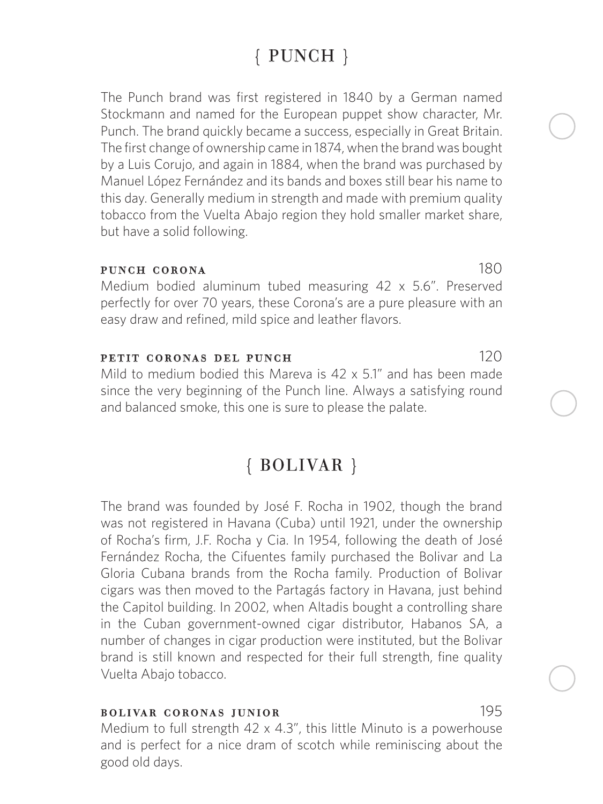# { PUNCH }

The Punch brand was first registered in 1840 by a German named Stockmann and named for the European puppet show character, Mr. Punch. The brand quickly became a success, especially in Great Britain. The first change of ownership came in 1874, when the brand was bought by a Luis Corujo, and again in 1884, when the brand was purchased by Manuel López Fernández and its bands and boxes still bear his name to this day. Generally medium in strength and made with premium quality tobacco from the Vuelta Abajo region they hold smaller market share, but have a solid following.

#### punch corona 180

Medium bodied aluminum tubed measuring 42 x 5.6". Preserved perfectly for over 70 years, these Corona's are a pure pleasure with an easy draw and refined, mild spice and leather flavors.

#### **PETIT CORONAS DEL PUNCH** 120

Mild to medium bodied this Mareva is 42 x 5.1" and has been made since the very beginning of the Punch line. Always a satisfying round and balanced smoke, this one is sure to please the palate.

## { BOLIVAR }

The brand was founded by José F. Rocha in 1902, though the brand was not registered in Havana (Cuba) until 1921, under the ownership of Rocha's firm, J.F. Rocha y Cia. In 1954, following the death of José Fernández Rocha, the Cifuentes family purchased the Bolivar and La Gloria Cubana brands from the Rocha family. Production of Bolivar cigars was then moved to the Partagás factory in Havana, just behind the Capitol building. In 2002, when Altadis bought a controlling share in the Cuban government-owned cigar distributor, Habanos SA, a number of changes in cigar production were instituted, but the Bolivar brand is still known and respected for their full strength, fine quality Vuelta Abajo tobacco.

#### bolivar coronas junior 195

Medium to full strength 42 x 4.3", this little Minuto is a powerhouse and is perfect for a nice dram of scotch while reminiscing about the good old days.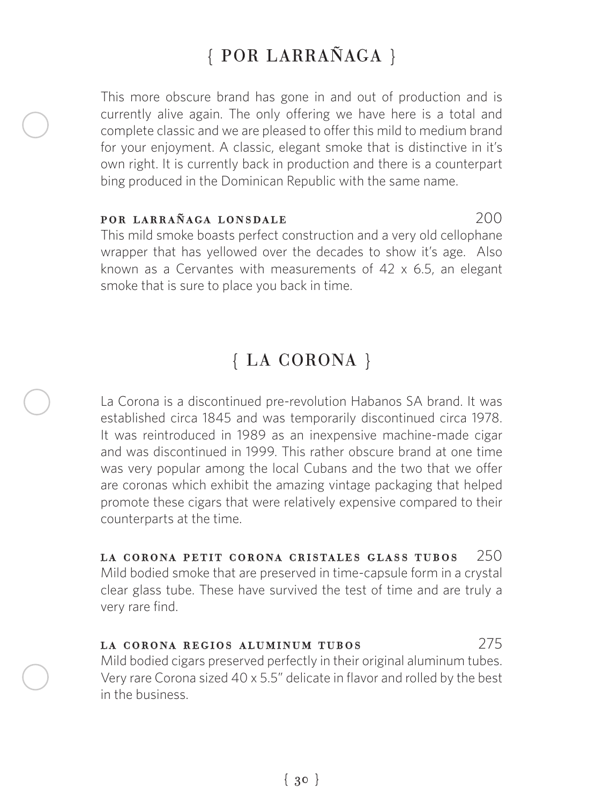# { POR LARRAÑAGA }

This more obscure brand has gone in and out of production and is currently alive again. The only offering we have here is a total and complete classic and we are pleased to offer this mild to medium brand for your enjoyment. A classic, elegant smoke that is distinctive in it's own right. It is currently back in production and there is a counterpart bing produced in the Dominican Republic with the same name.

#### por larrañaga lonsdale 200

This mild smoke boasts perfect construction and a very old cellophane wrapper that has yellowed over the decades to show it's age. Also known as a Cervantes with measurements of 42 x 6.5, an elegant smoke that is sure to place you back in time.

# { LA CORONA }

La Corona is a discontinued pre-revolution Habanos SA brand. It was established circa 1845 and was temporarily discontinued circa 1978. It was reintroduced in 1989 as an inexpensive machine-made cigar and was discontinued in 1999. This rather obscure brand at one time was very popular among the local Cubans and the two that we offer are coronas which exhibit the amazing vintage packaging that helped promote these cigars that were relatively expensive compared to their counterparts at the time.

#### la corona petit corona cristales glass tubos 250

Mild bodied smoke that are preserved in time-capsule form in a crystal clear glass tube. These have survived the test of time and are truly a very rare find.

#### la corona regios aluminum tubos 275

Mild bodied cigars preserved perfectly in their original aluminum tubes. Very rare Corona sized 40 x 5.5" delicate in flavor and rolled by the best in the business.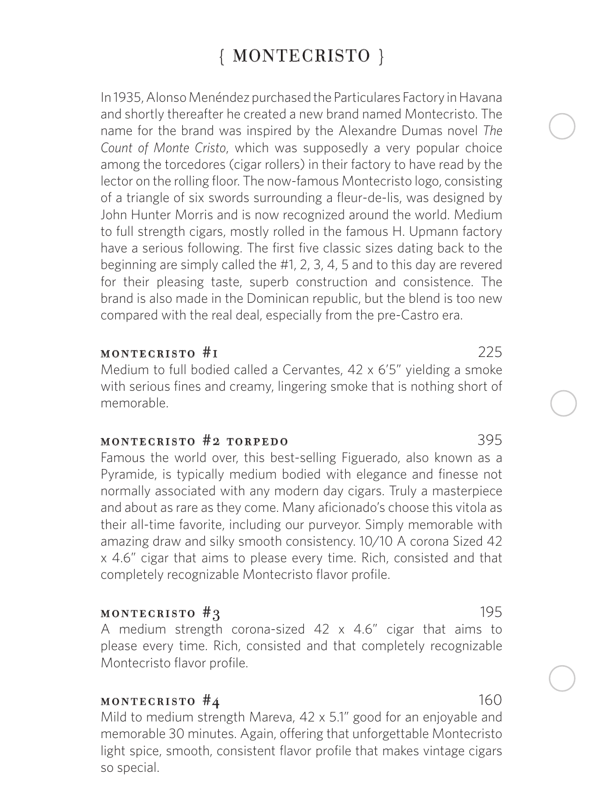# { MONTECRISTO }

In 1935, Alonso Menéndez purchased the Particulares Factory in Havana and shortly thereafter he created a new brand named Montecristo. The name for the brand was inspired by the Alexandre Dumas novel *The Count of Monte Cristo*, which was supposedly a very popular choice among the torcedores (cigar rollers) in their factory to have read by the lector on the rolling floor. The now-famous Montecristo logo, consisting of a triangle of six swords surrounding a fleur-de-lis, was designed by John Hunter Morris and is now recognized around the world. Medium to full strength cigars, mostly rolled in the famous H. Upmann factory have a serious following. The first five classic sizes dating back to the beginning are simply called the #1, 2, 3, 4, 5 and to this day are revered for their pleasing taste, superb construction and consistence. The brand is also made in the Dominican republic, but the blend is too new compared with the real deal, especially from the pre-Castro era.

#### montecristo #1 225

Medium to full bodied called a Cervantes, 42 x 6'5" yielding a smoke with serious fines and creamy, lingering smoke that is nothing short of memorable.

#### montecristo #2 torpedo 395

Famous the world over, this best-selling Figuerado, also known as a Pyramide, is typically medium bodied with elegance and finesse not normally associated with any modern day cigars. Truly a masterpiece and about as rare as they come. Many aficionado's choose this vitola as their all-time favorite, including our purveyor. Simply memorable with amazing draw and silky smooth consistency. 10/10 A corona Sized 42 x 4.6" cigar that aims to please every time. Rich, consisted and that completely recognizable Montecristo flavor profile.

#### **195**

A medium strength corona-sized 42 x 4.6" cigar that aims to please every time. Rich, consisted and that completely recognizable Montecristo flavor profile.

#### **160**

Mild to medium strength Mareva, 42 x 5.1" good for an enjoyable and memorable 30 minutes. Again, offering that unforgettable Montecristo light spice, smooth, consistent flavor profile that makes vintage cigars so special.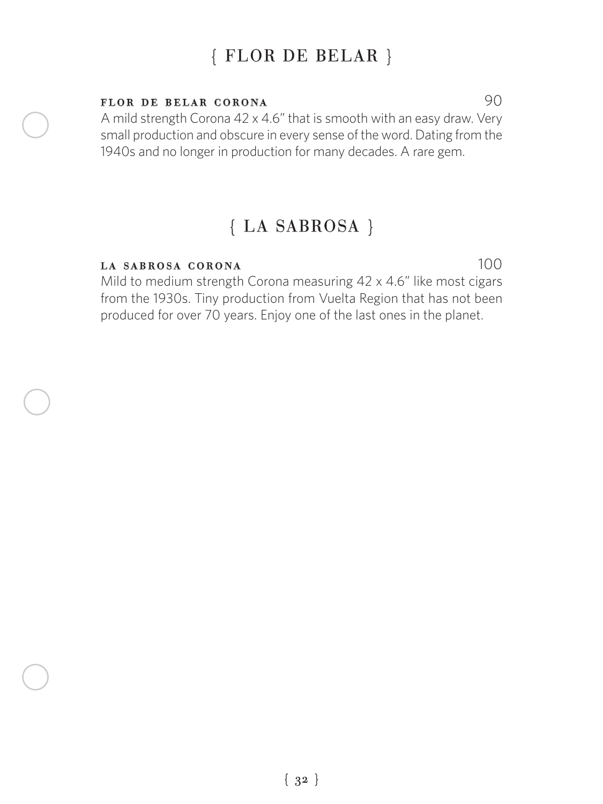# { FLOR DE BELAR }

#### FLOR DE BELAR CORONA 90

A mild strength Corona 42 x 4.6" that is smooth with an easy draw. Very small production and obscure in every sense of the word. Dating from the 1940s and no longer in production for many decades. A rare gem.

## { LA SABROSA }

#### la sabrosa corona 100

Mild to medium strength Corona measuring 42 x 4.6" like most cigars from the 1930s. Tiny production from Vuelta Region that has not been produced for over 70 years. Enjoy one of the last ones in the planet.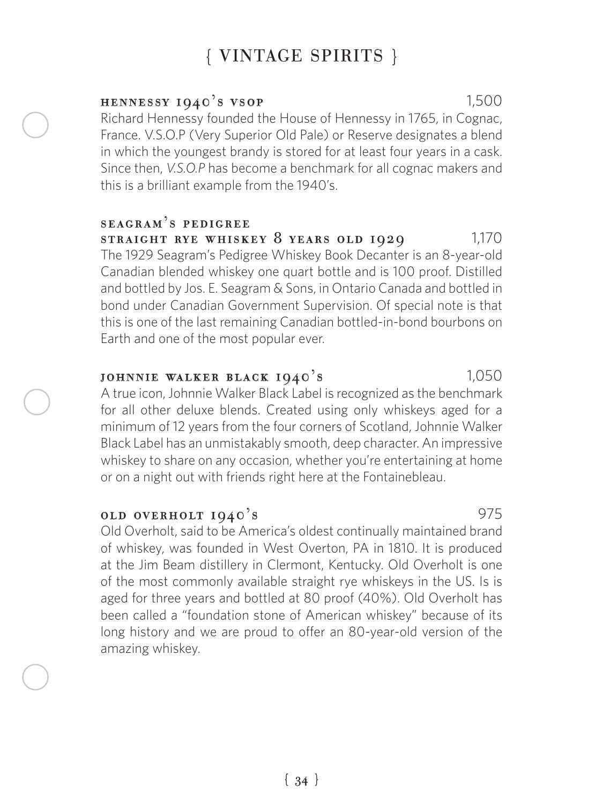#### $HENNESSY IQ40's VSOP$  1,500

Richard Hennessy founded the House of Hennessy in 1765, in Cognac, France. V.S.O.P (Very Superior Old Pale) or Reserve designates a blend in which the youngest brandy is stored for at least four years in a cask. Since then, *V.S.O.P* has become a benchmark for all cognac makers and this is a brilliant example from the 1940's.

#### seagram's pedigree STRAIGHT RYE WHISKEY 8 YEARS OLD  $1929$  1,170

The 1929 Seagram's Pedigree Whiskey Book Decanter is an 8-year-old Canadian blended whiskey one quart bottle and is 100 proof. Distilled and bottled by Jos. E. Seagram & Sons, in Ontario Canada and bottled in bond under Canadian Government Supervision. Of special note is that this is one of the last remaining Canadian bottled-in-bond bourbons on Earth and one of the most popular ever.

#### JOHNNIE WALKER BLACK 1940's 1,050

A true icon, Johnnie Walker Black Label is recognized as the benchmark for all other deluxe blends. Created using only whiskeys aged for a minimum of 12 years from the four corners of Scotland, Johnnie Walker Black Label has an unmistakably smooth, deep character. An impressive whiskey to share on any occasion, whether you're entertaining at home or on a night out with friends right here at the Fontainebleau.

#### **OLD OVERHOLT**  $1940$ **'s** 975

Old Overholt, said to be America's oldest continually maintained brand of whiskey, was founded in West Overton, PA in 1810. It is produced at the Jim Beam distillery in Clermont, Kentucky. Old Overholt is one of the most commonly available straight rye whiskeys in the US. Is is aged for three years and bottled at 80 proof (40%). Old Overholt has been called a "foundation stone of American whiskey" because of its long history and we are proud to offer an 80-year-old version of the amazing whiskey.

{ 34 }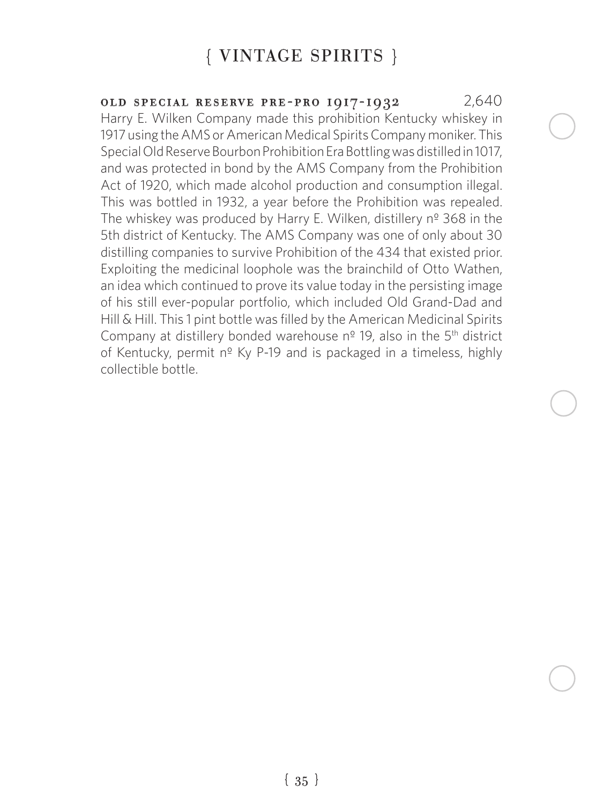old special reserve pre-pro 1917-1932 2,640 Harry E. Wilken Company made this prohibition Kentucky whiskey in 1917 using the AMS or American Medical Spirits Company moniker. This Special Old Reserve Bourbon Prohibition Era Bottling was distilled in 1017, and was protected in bond by the AMS Company from the Prohibition Act of 1920, which made alcohol production and consumption illegal. This was bottled in 1932, a year before the Prohibition was repealed. The whiskey was produced by Harry E. Wilken, distillery nº 368 in the 5th district of Kentucky. The AMS Company was one of only about 30 distilling companies to survive Prohibition of the 434 that existed prior. Exploiting the medicinal loophole was the brainchild of Otto Wathen, an idea which continued to prove its value today in the persisting image of his still ever-popular portfolio, which included Old Grand-Dad and Hill & Hill. This 1 pint bottle was filled by the American Medicinal Spirits Company at distillery bonded warehouse  $n<sup>°</sup>$  19, also in the  $5<sup>th</sup>$  district of Kentucky, permit nº Ky P-19 and is packaged in a timeless, highly collectible bottle.